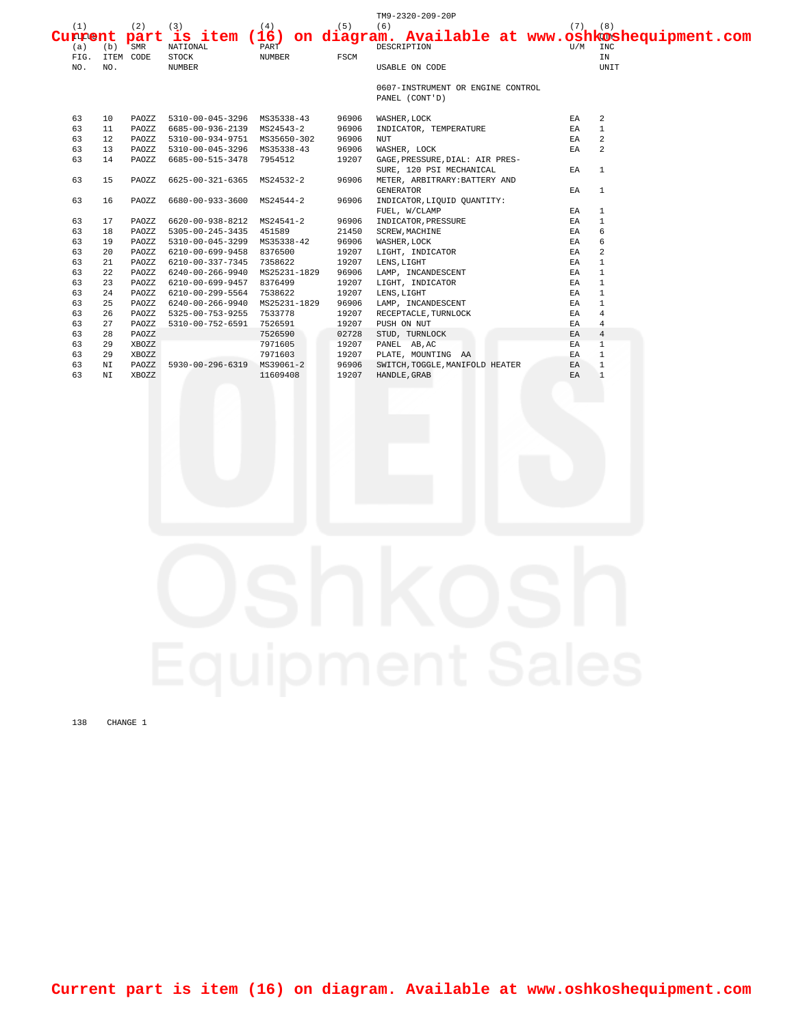|         |     |           |                              |               |       | TM9-2320-209-20P                  |  |             |                                                   |  |
|---------|-----|-----------|------------------------------|---------------|-------|-----------------------------------|--|-------------|---------------------------------------------------|--|
| (1)     |     | (2)       | (3)                          | (4)           | (5)   | (6)                               |  | $(7)$ $(8)$ |                                                   |  |
| Current |     | part      | is item $(16)$               |               |       |                                   |  |             | on diagram. Available at www.oshkoshequipment.com |  |
| (a)     | (b) | SMR       | NATIONAL                     | PART          |       | DESCRIPTION                       |  | U/M         | INC                                               |  |
| FIG.    |     | ITEM CODE | <b>STOCK</b>                 | <b>NUMBER</b> | FSCM  |                                   |  |             | IN                                                |  |
| NO.     | NO. |           | <b>NUMBER</b>                |               |       | USABLE ON CODE                    |  |             | UNIT                                              |  |
|         |     |           |                              |               |       | 0607-INSTRUMENT OR ENGINE CONTROL |  |             |                                                   |  |
|         |     |           |                              |               |       | PANEL (CONT'D)                    |  |             |                                                   |  |
| 63      | 10  | PAOZZ     | 5310-00-045-3296 MS35338-43  |               | 96906 | WASHER, LOCK                      |  | EA          | 2                                                 |  |
| 63      | 11  | PAOZZ     | 6685-00-936-2139 MS24543-2   |               | 96906 | INDICATOR, TEMPERATURE            |  | EA          | $\mathbf{1}$                                      |  |
| 63      | 12  | PAOZZ     | 5310-00-934-9751 MS35650-302 |               | 96906 | <b>NUT</b>                        |  | EA          | $\overline{a}$                                    |  |
| 63      | 13  | PAOZZ     | 5310-00-045-3296 MS35338-43  |               | 96906 | WASHER, LOCK                      |  | EA          | 2                                                 |  |
| 63      | 14  | PAOZZ     | 6685-00-515-3478             | 7954512       | 19207 | GAGE, PRESSURE, DIAL: AIR PRES-   |  |             |                                                   |  |
|         |     |           |                              |               |       | SURE, 120 PSI MECHANICAL          |  | EA          | <sup>1</sup>                                      |  |
| 63      | 15  | PAOZZ     | 6625-00-321-6365             | MS24532-2     | 96906 | METER, ARBITRARY: BATTERY AND     |  |             |                                                   |  |
|         |     |           |                              |               |       | <b>GENERATOR</b>                  |  | EA          | $\overline{1}$                                    |  |
| 63      | 16  | PAOZZ     | 6680-00-933-3600             | MS24544-2     | 96906 | INDICATOR, LIQUID QUANTITY:       |  |             |                                                   |  |
|         |     |           |                              |               |       | FUEL, W/CLAMP                     |  | ΕA          | $\mathbf{1}$                                      |  |
| 63      | 17  | PAOZZ     | 6620-00-938-8212             | MS24541-2     | 96906 | INDICATOR, PRESSURE               |  | EA          | $\overline{1}$                                    |  |
| 63      | 18  | PAOZZ     | 5305-00-245-3435             | 451589        | 21450 | <b>SCREW, MACHINE</b>             |  | EA          | 6                                                 |  |
| 63      | 19  | PAOZZ     | 5310-00-045-3299 MS35338-42  |               | 96906 | WASHER, LOCK                      |  | ΕA          | 6                                                 |  |
| 63      | 20  | PAOZZ     | 6210-00-699-9458 8376500     |               | 19207 | LIGHT, INDICATOR                  |  | ΕA          | 2                                                 |  |
| 63      | 21  | PAOZZ     | 6210-00-337-7345             | 7358622       | 19207 | LENS, LIGHT                       |  | ΕA          | $\mathbf{1}$                                      |  |
| 63      | 22  | PAOZZ     | 6240-00-266-9940             | MS25231-1829  | 96906 | LAMP, INCANDESCENT                |  | EA          | $\overline{1}$                                    |  |
| 63      | 23  | PAOZZ     | 6210-00-699-9457 8376499     |               | 19207 | LIGHT, INDICATOR                  |  | EA          | $\mathbf{1}$                                      |  |
| 63      | 24  | PAOZZ     | 6210-00-299-5564             | 7538622       | 19207 | LENS, LIGHT                       |  | EA          | $\mathbf{1}$                                      |  |
| 63      | 25  | PAOZZ     | 6240-00-266-9940             | MS25231-1829  | 96906 | LAMP, INCANDESCENT                |  | EA          | $\mathbf{1}$                                      |  |
| 63      | 26  | PAOZZ     | 5325-00-753-9255             | 7533778       | 19207 | RECEPTACLE, TURNLOCK              |  | EA          | $\overline{4}$                                    |  |
| 63      | 27  | PAOZZ     | 5310-00-752-6591             | 7526591       | 19207 | PUSH ON NUT                       |  | ΕA          | $\overline{4}$                                    |  |
| 63      | 28  | PAOZZ     |                              | 7526590       | 02728 | STUD, TURNLOCK                    |  | EA          | $\overline{4}$                                    |  |
| 63      | 29  | XBOZZ     |                              | 7971605       | 19207 | PANEL AB, AC                      |  | EA          | $\mathbf{1}$                                      |  |
| 63      | 29  | XBOZZ     |                              | 7971603       | 19207 | PLATE, MOUNTING AA                |  | EA          | $\mathbf{1}$                                      |  |
| 63      | NI  | PAOZZ     | 5930-00-296-6319             | MS39061-2     | 96906 | SWITCH, TOGGLE, MANIFOLD HEATER   |  | EA          | $\mathbf{1}$                                      |  |
| 63      | ΝI  | XBOZZ     |                              | 11609408      | 19207 | HANDLE, GRAB                      |  | EA          | $\mathbf{1}$                                      |  |

138 CHANGE 1